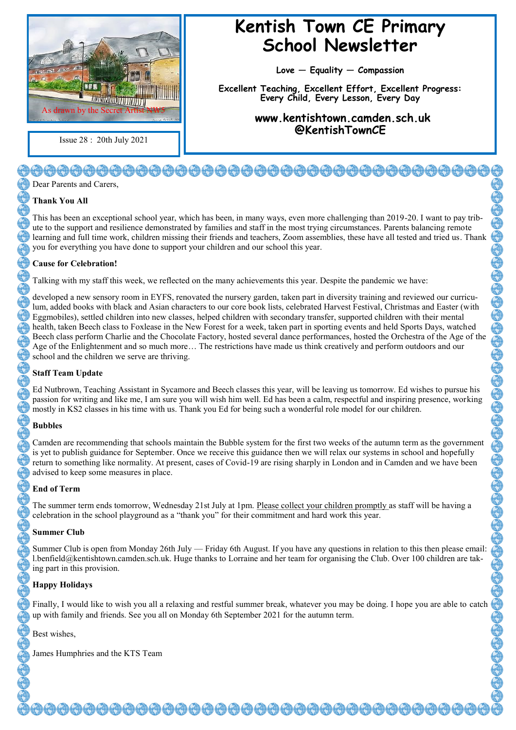

Issue 28 : 20th July 2021

## **Kentish Town CE Primary School Newsletter**

**Love — Equality — Compassion**

**Excellent Teaching, Excellent Effort, Excellent Progress: Every Child, Every Lesson, Every Day**

> **www.kentishtown.camden.sch.uk @KentishTownCE**

### <del>00000000000000000000000000</del> Dear Parents and Carers,

#### **Thank You All**

This has been an exceptional school year, which has been, in many ways, even more challenging than 2019-20. I want to pay tribute to the support and resilience demonstrated by families and staff in the most trying circumstances. Parents balancing remote learning and full time work, children missing their friends and teachers, Zoom assemblies, these have all tested and tried us. Thank you for everything you have done to support your children and our school this year.

#### **Cause for Celebration!**

Talking with my staff this week, we reflected on the many achievements this year. Despite the pandemic we have:

developed a new sensory room in EYFS, renovated the nursery garden, taken part in diversity training and reviewed our curriculum, added books with black and Asian characters to our core book lists, celebrated Harvest Festival, Christmas and Easter (with Eggmobiles), settled children into new classes, helped children with secondary transfer, supported children with their mental health, taken Beech class to Foxlease in the New Forest for a week, taken part in sporting events and held Sports Days, watched Beech class perform Charlie and the Chocolate Factory, hosted several dance performances, hosted the Orchestra of the Age of the Age of the Enlightenment and so much more… The restrictions have made us think creatively and perform outdoors and our school and the children we serve are thriving.

#### **Staff Team Update**

Ed Nutbrown, Teaching Assistant in Sycamore and Beech classes this year, will be leaving us tomorrow. Ed wishes to pursue his passion for writing and like me, I am sure you will wish him well. Ed has been a calm, respectful and inspiring presence, working mostly in KS2 classes in his time with us. Thank you Ed for being such a wonderful role model for our children.

#### **Bubbles**

Camden are recommending that schools maintain the Bubble system for the first two weeks of the autumn term as the government is yet to publish guidance for September. Once we receive this guidance then we will relax our systems in school and hopefully return to something like normality. At present, cases of Covid-19 are rising sharply in London and in Camden and we have been advised to keep some measures in place.

#### **End of Term**

The summer term ends tomorrow, Wednesday 21st July at 1pm. Please collect your children promptly as staff will be having a celebration in the school playground as a "thank you" for their commitment and hard work this year.

#### **Summer Club**

Summer Club is open from Monday 26th July — Friday 6th August. If you have any questions in relation to this then please email: l.benfield@kentishtown.camden.sch.uk. Huge thanks to Lorraine and her team for organising the Club. Over 100 children are taking part in this provision.

#### **Happy Holidays**

Finally, I would like to wish you all a relaxing and restful summer break, whatever you may be doing. I hope you are able to catch up with family and friends. See you all on Monday 6th September 2021 for the autumn term.

Best wishes,

James Humphries and the KTS Team